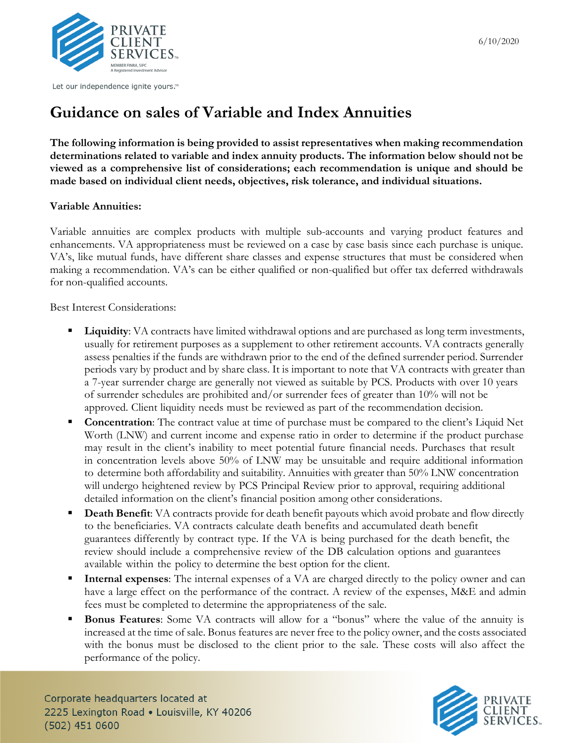

Let our independence ignite yours.™

## **Guidance on sales of Variable and Index Annuities**

**The following information is being provided to assist representatives when making recommendation determinations related to variable and index annuity products. The information below should not be viewed as a comprehensive list of considerations; each recommendation is unique and should be made based on individual client needs, objectives, risk tolerance, and individual situations.** 

## **Variable Annuities:**

Variable annuities are complex products with multiple sub-accounts and varying product features and enhancements. VA appropriateness must be reviewed on a case by case basis since each purchase is unique. VA's, like mutual funds, have different share classes and expense structures that must be considered when making a recommendation. VA's can be either qualified or non-qualified but offer tax deferred withdrawals for non-qualified accounts.

Best Interest Considerations:

- **Liquidity**: VA contracts have limited withdrawal options and are purchased as long term investments, usually for retirement purposes as a supplement to other retirement accounts. VA contracts generally assess penalties if the funds are withdrawn prior to the end of the defined surrender period. Surrender periods vary by product and by share class. It is important to note that VA contracts with greater than a 7-year surrender charge are generally not viewed as suitable by PCS. Products with over 10 years of surrender schedules are prohibited and/or surrender fees of greater than 10% will not be approved. Client liquidity needs must be reviewed as part of the recommendation decision.
- **Concentration**: The contract value at time of purchase must be compared to the client's Liquid Net Worth (LNW) and current income and expense ratio in order to determine if the product purchase may result in the client's inability to meet potential future financial needs. Purchases that result in concentration levels above 50% of LNW may be unsuitable and require additional information to determine both affordability and suitability. Annuities with greater than 50% LNW concentration will undergo heightened review by PCS Principal Review prior to approval, requiring additional detailed information on the client's financial position among other considerations.
- **Death Benefit:** VA contracts provide for death benefit payouts which avoid probate and flow directly to the beneficiaries. VA contracts calculate death benefits and accumulated death benefit guarantees differently by contract type. If the VA is being purchased for the death benefit, the review should include a comprehensive review of the DB calculation options and guarantees available within the policy to determine the best option for the client.
- **Internal expenses**: The internal expenses of a VA are charged directly to the policy owner and can have a large effect on the performance of the contract. A review of the expenses, M&E and admin fees must be completed to determine the appropriateness of the sale.
- **Bonus Features**: Some VA contracts will allow for a "bonus" where the value of the annuity is increased at the time of sale. Bonus features are never free to the policy owner, and the costs associated with the bonus must be disclosed to the client prior to the sale. These costs will also affect the performance of the policy.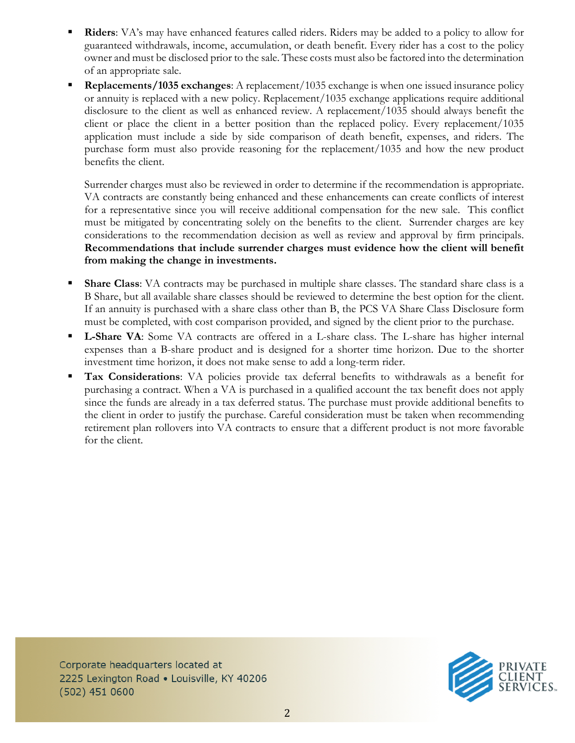- **Riders**: VA's may have enhanced features called riders. Riders may be added to a policy to allow for guaranteed withdrawals, income, accumulation, or death benefit. Every rider has a cost to the policy owner and must be disclosed prior to the sale. These costs must also be factored into the determination of an appropriate sale.
- **Replacements/1035 exchanges**: A replacement/1035 exchange is when one issued insurance policy or annuity is replaced with a new policy. Replacement/1035 exchange applications require additional disclosure to the client as well as enhanced review. A replacement/1035 should always benefit the client or place the client in a better position than the replaced policy. Every replacement/1035 application must include a side by side comparison of death benefit, expenses, and riders. The purchase form must also provide reasoning for the replacement/1035 and how the new product benefits the client.

Surrender charges must also be reviewed in order to determine if the recommendation is appropriate. VA contracts are constantly being enhanced and these enhancements can create conflicts of interest for a representative since you will receive additional compensation for the new sale. This conflict must be mitigated by concentrating solely on the benefits to the client. Surrender charges are key considerations to the recommendation decision as well as review and approval by firm principals. **Recommendations that include surrender charges must evidence how the client will benefit from making the change in investments.**

- **Share Class**: VA contracts may be purchased in multiple share classes. The standard share class is a B Share, but all available share classes should be reviewed to determine the best option for the client. If an annuity is purchased with a share class other than B, the PCS VA Share Class Disclosure form must be completed, with cost comparison provided, and signed by the client prior to the purchase.
- **L-Share VA**: Some VA contracts are offered in a L-share class. The L-share has higher internal expenses than a B-share product and is designed for a shorter time horizon. Due to the shorter investment time horizon, it does not make sense to add a long-term rider.
- **Tax Considerations**: VA policies provide tax deferral benefits to withdrawals as a benefit for purchasing a contract. When a VA is purchased in a qualified account the tax benefit does not apply since the funds are already in a tax deferred status. The purchase must provide additional benefits to the client in order to justify the purchase. Careful consideration must be taken when recommending retirement plan rollovers into VA contracts to ensure that a different product is not more favorable for the client.

Corporate headquarters located at 2225 Lexington Road . Louisville, KY 40206 (502) 451 0600